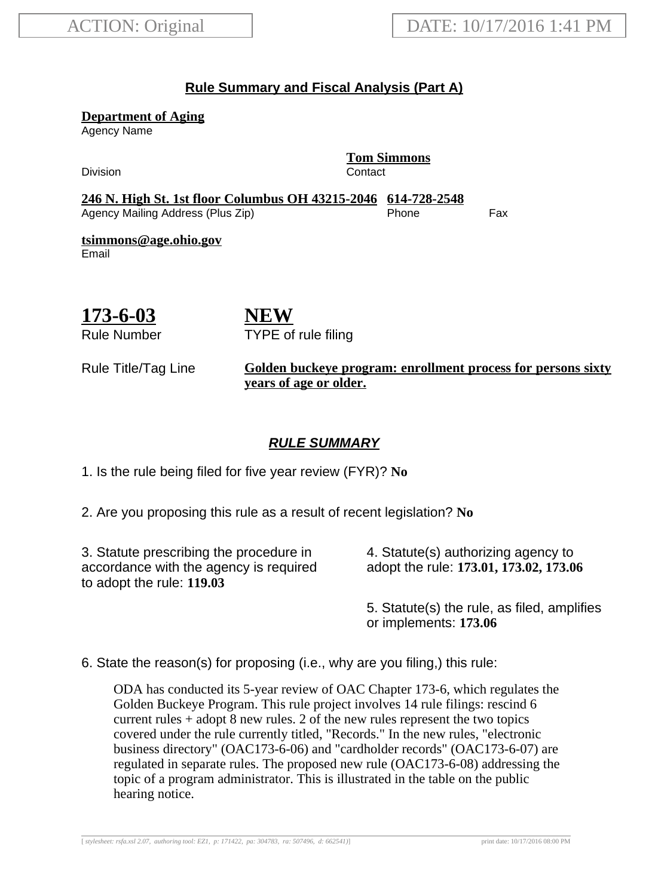## **Rule Summary and Fiscal Analysis (Part A)**

**Department of Aging**

Agency Name

Division Contact

**Tom Simmons**

**246 N. High St. 1st floor Columbus OH 43215-2046 614-728-2548** Agency Mailing Address (Plus Zip) entitled the Separate Control of the Fax

**tsimmons@age.ohio.gov** Email

**173-6-03**

Rule Number

**NEW** TYPE of rule filing

#### Rule Title/Tag Line **Golden buckeye program: enrollment process for persons sixty years of age or older.**

## **RULE SUMMARY**

1. Is the rule being filed for five year review (FYR)? **No**

2. Are you proposing this rule as a result of recent legislation? **No**

3. Statute prescribing the procedure in accordance with the agency is required to adopt the rule: **119.03**

4. Statute(s) authorizing agency to adopt the rule: **173.01, 173.02, 173.06**

5. Statute(s) the rule, as filed, amplifies or implements: **173.06**

6. State the reason(s) for proposing (i.e., why are you filing,) this rule:

ODA has conducted its 5-year review of OAC Chapter 173-6, which regulates the Golden Buckeye Program. This rule project involves 14 rule filings: rescind 6 current rules + adopt 8 new rules. 2 of the new rules represent the two topics covered under the rule currently titled, "Records." In the new rules, "electronic business directory" (OAC173-6-06) and "cardholder records" (OAC173-6-07) are regulated in separate rules. The proposed new rule (OAC173-6-08) addressing the topic of a program administrator. This is illustrated in the table on the public hearing notice.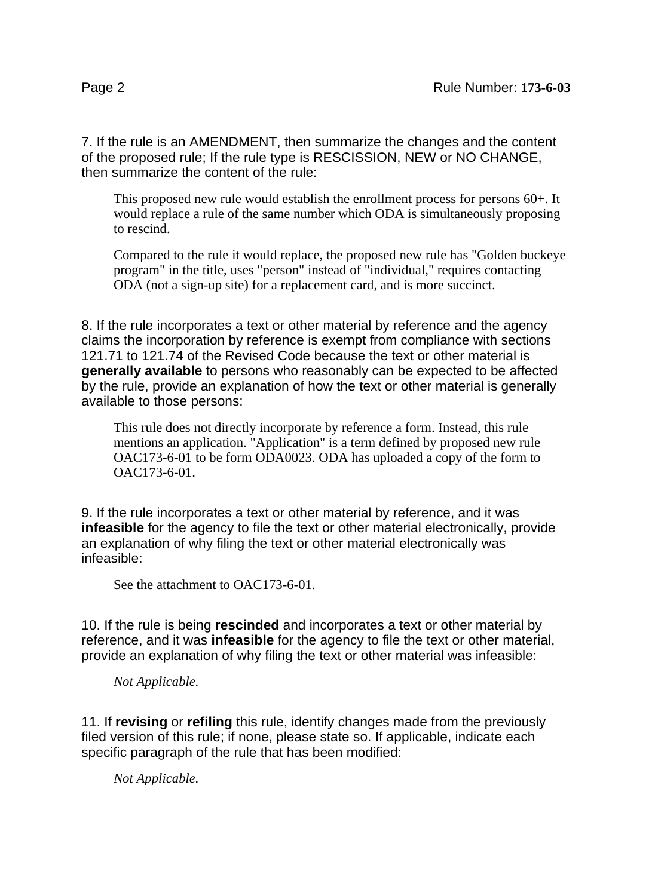7. If the rule is an AMENDMENT, then summarize the changes and the content of the proposed rule; If the rule type is RESCISSION, NEW or NO CHANGE, then summarize the content of the rule:

This proposed new rule would establish the enrollment process for persons 60+. It would replace a rule of the same number which ODA is simultaneously proposing to rescind.

Compared to the rule it would replace, the proposed new rule has "Golden buckeye program" in the title, uses "person" instead of "individual," requires contacting ODA (not a sign-up site) for a replacement card, and is more succinct.

8. If the rule incorporates a text or other material by reference and the agency claims the incorporation by reference is exempt from compliance with sections 121.71 to 121.74 of the Revised Code because the text or other material is **generally available** to persons who reasonably can be expected to be affected by the rule, provide an explanation of how the text or other material is generally available to those persons:

This rule does not directly incorporate by reference a form. Instead, this rule mentions an application. "Application" is a term defined by proposed new rule OAC173-6-01 to be form ODA0023. ODA has uploaded a copy of the form to OAC173-6-01.

9. If the rule incorporates a text or other material by reference, and it was **infeasible** for the agency to file the text or other material electronically, provide an explanation of why filing the text or other material electronically was infeasible:

See the attachment to OAC173-6-01.

10. If the rule is being **rescinded** and incorporates a text or other material by reference, and it was **infeasible** for the agency to file the text or other material, provide an explanation of why filing the text or other material was infeasible:

*Not Applicable.*

11. If **revising** or **refiling** this rule, identify changes made from the previously filed version of this rule; if none, please state so. If applicable, indicate each specific paragraph of the rule that has been modified:

*Not Applicable.*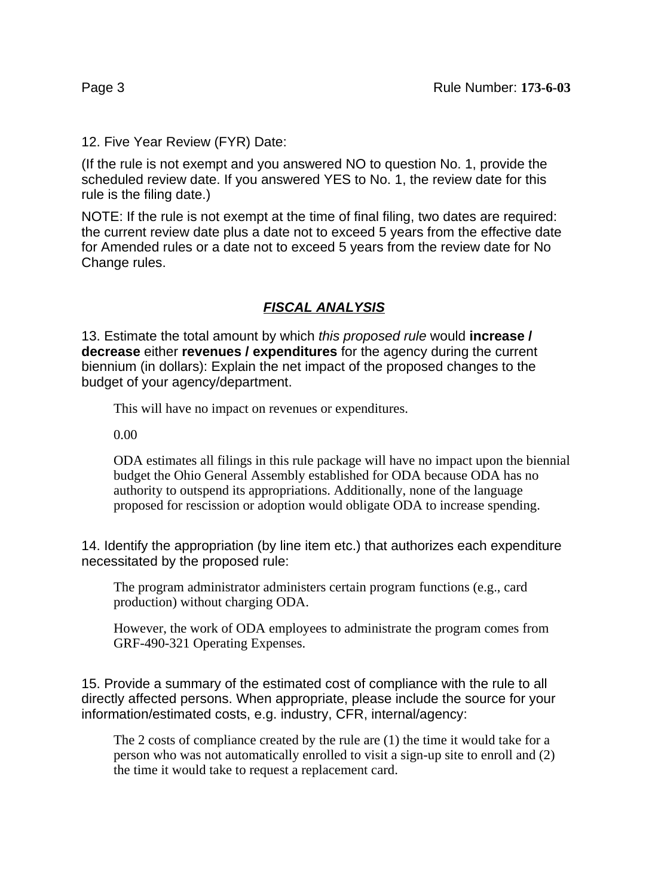12. Five Year Review (FYR) Date:

(If the rule is not exempt and you answered NO to question No. 1, provide the scheduled review date. If you answered YES to No. 1, the review date for this rule is the filing date.)

NOTE: If the rule is not exempt at the time of final filing, two dates are required: the current review date plus a date not to exceed 5 years from the effective date for Amended rules or a date not to exceed 5 years from the review date for No Change rules.

#### **FISCAL ANALYSIS**

13. Estimate the total amount by which this proposed rule would **increase / decrease** either **revenues / expenditures** for the agency during the current biennium (in dollars): Explain the net impact of the proposed changes to the budget of your agency/department.

This will have no impact on revenues or expenditures.

0.00

ODA estimates all filings in this rule package will have no impact upon the biennial budget the Ohio General Assembly established for ODA because ODA has no authority to outspend its appropriations. Additionally, none of the language proposed for rescission or adoption would obligate ODA to increase spending.

14. Identify the appropriation (by line item etc.) that authorizes each expenditure necessitated by the proposed rule:

The program administrator administers certain program functions (e.g., card production) without charging ODA.

However, the work of ODA employees to administrate the program comes from GRF-490-321 Operating Expenses.

15. Provide a summary of the estimated cost of compliance with the rule to all directly affected persons. When appropriate, please include the source for your information/estimated costs, e.g. industry, CFR, internal/agency:

The 2 costs of compliance created by the rule are (1) the time it would take for a person who was not automatically enrolled to visit a sign-up site to enroll and (2) the time it would take to request a replacement card.